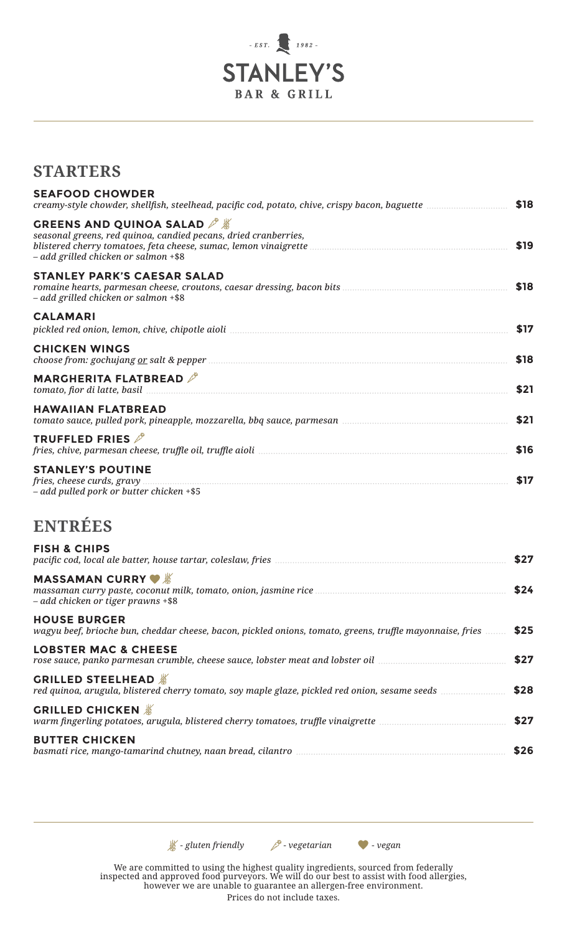# $- EST.$  1982 -**STANLEY'S BAR & GRILL**

## **STARTERS**

| <b>SEAFOOD CHOWDER</b>                                                                                                                          | \$18 |
|-------------------------------------------------------------------------------------------------------------------------------------------------|------|
| <b>GREENS AND QUINOA SALAD A SET</b><br>seasonal greens, red quinoa, candied pecans, dried cranberries,<br>- add grilled chicken or salmon +\$8 | \$19 |
| <b>STANLEY PARK'S CAESAR SALAD</b><br>- add grilled chicken or salmon +\$8                                                                      | \$18 |
| <b>CALAMARI</b>                                                                                                                                 |      |
|                                                                                                                                                 | \$17 |
| <b>CHICKEN WINGS</b>                                                                                                                            | \$18 |
| <b>MARGHERITA FLATBREAD</b>                                                                                                                     | \$21 |
| <b>HAWAIIAN FLATBREAD</b>                                                                                                                       | \$21 |
| <b>TRUFFLED FRIES</b>                                                                                                                           | \$16 |
| <b>STANLEY'S POUTINE</b><br>- add pulled pork or butter chicken +\$5                                                                            | \$17 |
| <b>ENTRÉES</b>                                                                                                                                  |      |
| <b>FISH &amp; CHIPS</b>                                                                                                                         | \$27 |

| <b>MASSAMAN CURRY</b> $\frac{16}{20}$<br>- add chicken or tiger prawns +\$8                                                                       | \$24 |
|---------------------------------------------------------------------------------------------------------------------------------------------------|------|
| <b>HOUSE BURGER</b><br>wagyu beef, brioche bun, cheddar cheese, bacon, pickled onions, tomato, greens, truffle mayonnaise, fries                  | \$25 |
| <b>LOBSTER MAC &amp; CHEESE</b><br>rose sauce, panko parmesan crumble, cheese sauce, lobster meat and lobster oil manuming results and results an | \$27 |
| <b>GRILLED STEELHEAD &amp;</b>                                                                                                                    | \$28 |
| <b>GRILLED CHICKEN &amp;</b><br>warm fingerling potatoes, arugula, blistered cherry tomatoes, truffle vinaigrette manument contains and the po    | \$27 |
| <b>RUTTED CHICKEN</b>                                                                                                                             |      |

**BUTTER CHICKEN** *basmati rice, mango-tamarind chutney, naan bread, cilantro* **\$26**

> We are committed to using the highest quality ingredients, sourced from federally inspected and approved food purveyors. We will do our best to assist with food allergies, however we are unable to guarantee an allergen-free environment. *- gluten friendly - vegetarian - vegan*

Prices do not include taxes.